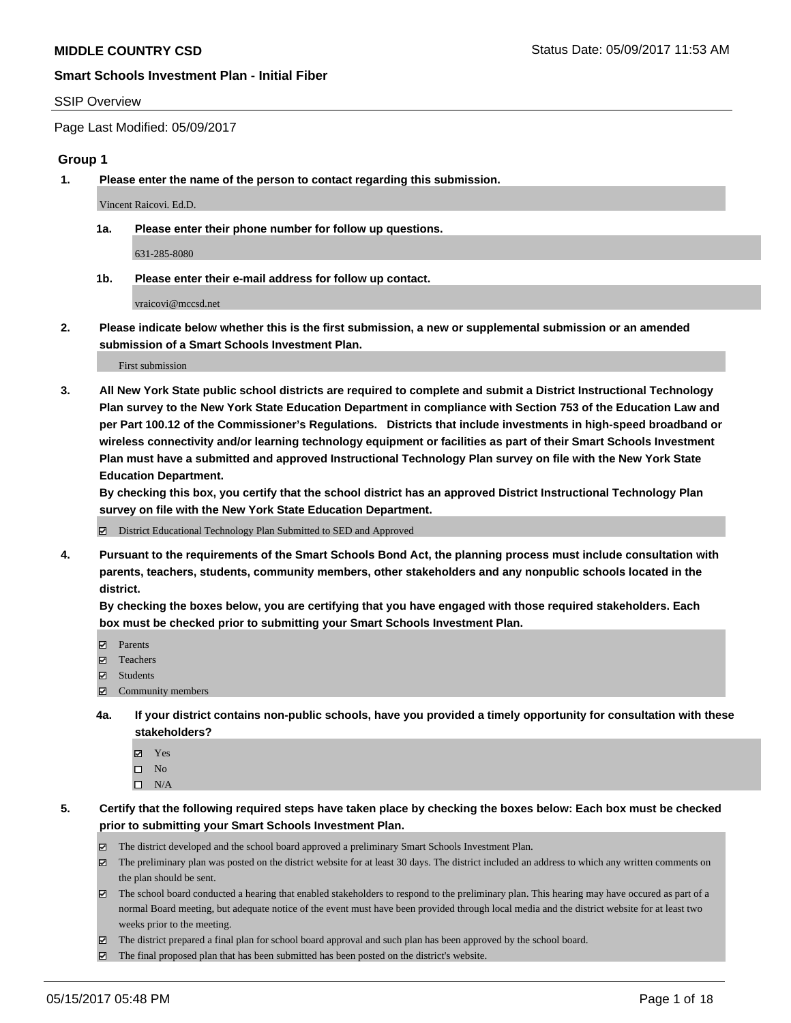#### SSIP Overview

Page Last Modified: 05/09/2017

#### **Group 1**

**1. Please enter the name of the person to contact regarding this submission.**

Vincent Raicovi. Ed.D.

**1a. Please enter their phone number for follow up questions.**

631-285-8080

**1b. Please enter their e-mail address for follow up contact.**

vraicovi@mccsd.net

**2. Please indicate below whether this is the first submission, a new or supplemental submission or an amended submission of a Smart Schools Investment Plan.**

First submission

**3. All New York State public school districts are required to complete and submit a District Instructional Technology Plan survey to the New York State Education Department in compliance with Section 753 of the Education Law and per Part 100.12 of the Commissioner's Regulations. Districts that include investments in high-speed broadband or wireless connectivity and/or learning technology equipment or facilities as part of their Smart Schools Investment Plan must have a submitted and approved Instructional Technology Plan survey on file with the New York State Education Department.** 

**By checking this box, you certify that the school district has an approved District Instructional Technology Plan survey on file with the New York State Education Department.**

District Educational Technology Plan Submitted to SED and Approved

**4. Pursuant to the requirements of the Smart Schools Bond Act, the planning process must include consultation with parents, teachers, students, community members, other stakeholders and any nonpublic schools located in the district.** 

**By checking the boxes below, you are certifying that you have engaged with those required stakeholders. Each box must be checked prior to submitting your Smart Schools Investment Plan.**

- **マ** Parents
- □ Teachers
- Students
- $\Xi$  Community members
- **4a. If your district contains non-public schools, have you provided a timely opportunity for consultation with these stakeholders?**
	- Yes
	- $\hfill \square$  No
	- $\square$  N/A
- **5. Certify that the following required steps have taken place by checking the boxes below: Each box must be checked prior to submitting your Smart Schools Investment Plan.**
	- The district developed and the school board approved a preliminary Smart Schools Investment Plan.
	- $\boxtimes$  The preliminary plan was posted on the district website for at least 30 days. The district included an address to which any written comments on the plan should be sent.
	- $\boxtimes$  The school board conducted a hearing that enabled stakeholders to respond to the preliminary plan. This hearing may have occured as part of a normal Board meeting, but adequate notice of the event must have been provided through local media and the district website for at least two weeks prior to the meeting.
	- The district prepared a final plan for school board approval and such plan has been approved by the school board.
	- $\boxtimes$  The final proposed plan that has been submitted has been posted on the district's website.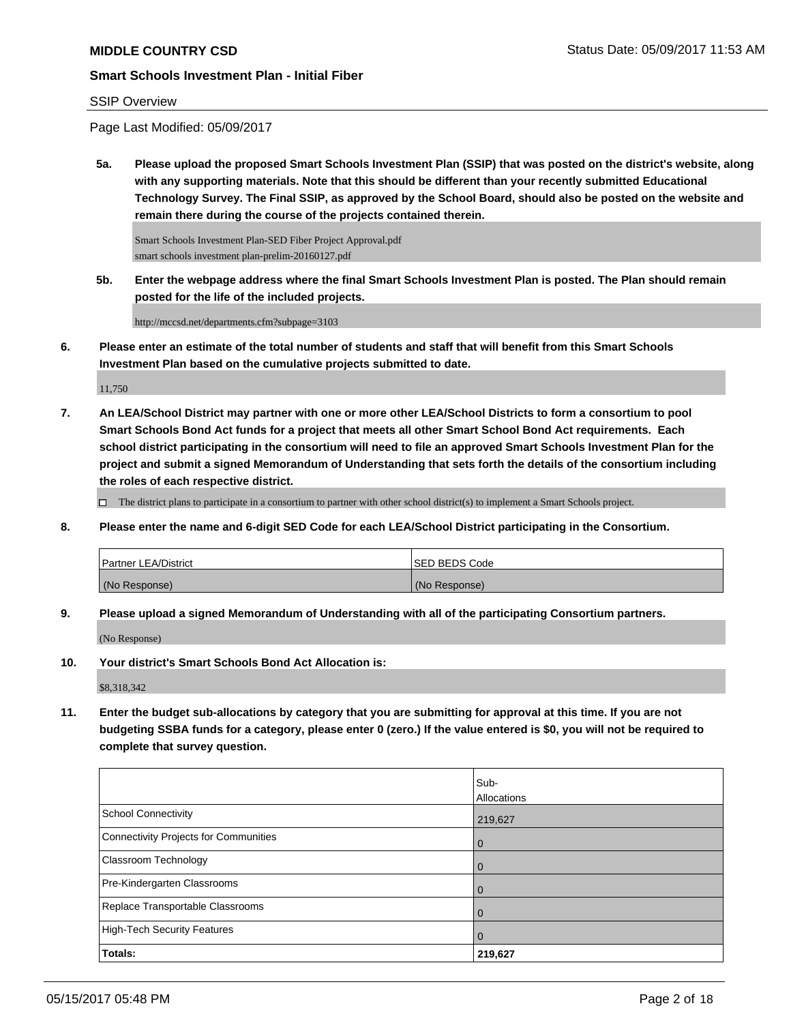#### SSIP Overview

Page Last Modified: 05/09/2017

**5a. Please upload the proposed Smart Schools Investment Plan (SSIP) that was posted on the district's website, along with any supporting materials. Note that this should be different than your recently submitted Educational Technology Survey. The Final SSIP, as approved by the School Board, should also be posted on the website and remain there during the course of the projects contained therein.**

Smart Schools Investment Plan-SED Fiber Project Approval.pdf smart schools investment plan-prelim-20160127.pdf

**5b. Enter the webpage address where the final Smart Schools Investment Plan is posted. The Plan should remain posted for the life of the included projects.**

http://mccsd.net/departments.cfm?subpage=3103

**6. Please enter an estimate of the total number of students and staff that will benefit from this Smart Schools Investment Plan based on the cumulative projects submitted to date.**

11,750

**7. An LEA/School District may partner with one or more other LEA/School Districts to form a consortium to pool Smart Schools Bond Act funds for a project that meets all other Smart School Bond Act requirements. Each school district participating in the consortium will need to file an approved Smart Schools Investment Plan for the project and submit a signed Memorandum of Understanding that sets forth the details of the consortium including the roles of each respective district.**

 $\Box$  The district plans to participate in a consortium to partner with other school district(s) to implement a Smart Schools project.

**8. Please enter the name and 6-digit SED Code for each LEA/School District participating in the Consortium.**

| <b>Partner LEA/District</b> | <b>ISED BEDS Code</b> |
|-----------------------------|-----------------------|
| (No Response)               | (No Response)         |

**9. Please upload a signed Memorandum of Understanding with all of the participating Consortium partners.**

(No Response)

**10. Your district's Smart Schools Bond Act Allocation is:**

\$8,318,342

**11. Enter the budget sub-allocations by category that you are submitting for approval at this time. If you are not budgeting SSBA funds for a category, please enter 0 (zero.) If the value entered is \$0, you will not be required to complete that survey question.**

|                                       | Sub-<br><b>Allocations</b> |
|---------------------------------------|----------------------------|
| School Connectivity                   | 219,627                    |
| Connectivity Projects for Communities | $\overline{0}$             |
| <b>Classroom Technology</b>           | $\overline{0}$             |
| Pre-Kindergarten Classrooms           | $\overline{0}$             |
| Replace Transportable Classrooms      | $\Omega$                   |
| High-Tech Security Features           | $\overline{0}$             |
| Totals:                               | 219,627                    |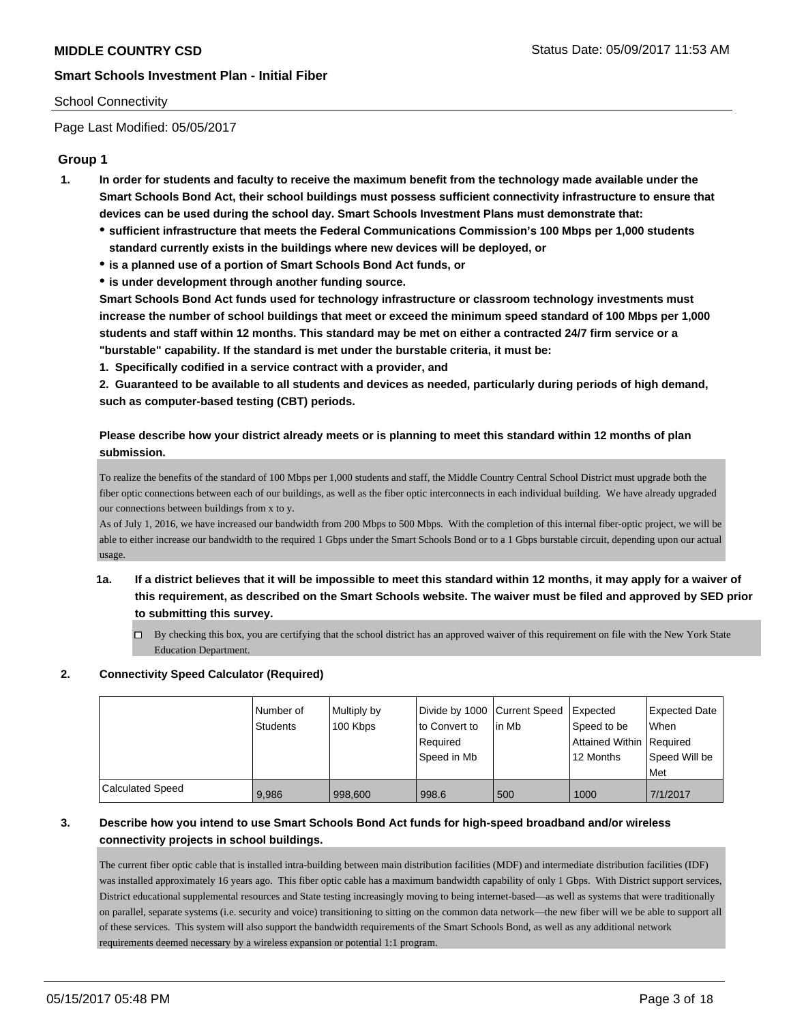## School Connectivity

Page Last Modified: 05/05/2017

# **Group 1**

- **1. In order for students and faculty to receive the maximum benefit from the technology made available under the Smart Schools Bond Act, their school buildings must possess sufficient connectivity infrastructure to ensure that devices can be used during the school day. Smart Schools Investment Plans must demonstrate that:**
	- **sufficient infrastructure that meets the Federal Communications Commission's 100 Mbps per 1,000 students standard currently exists in the buildings where new devices will be deployed, or**
	- **is a planned use of a portion of Smart Schools Bond Act funds, or**
	- **is under development through another funding source.**

**Smart Schools Bond Act funds used for technology infrastructure or classroom technology investments must increase the number of school buildings that meet or exceed the minimum speed standard of 100 Mbps per 1,000 students and staff within 12 months. This standard may be met on either a contracted 24/7 firm service or a "burstable" capability. If the standard is met under the burstable criteria, it must be:**

**1. Specifically codified in a service contract with a provider, and**

**2. Guaranteed to be available to all students and devices as needed, particularly during periods of high demand, such as computer-based testing (CBT) periods.**

# **Please describe how your district already meets or is planning to meet this standard within 12 months of plan submission.**

To realize the benefits of the standard of 100 Mbps per 1,000 students and staff, the Middle Country Central School District must upgrade both the fiber optic connections between each of our buildings, as well as the fiber optic interconnects in each individual building. We have already upgraded our connections between buildings from x to y.

As of July 1, 2016, we have increased our bandwidth from 200 Mbps to 500 Mbps. With the completion of this internal fiber-optic project, we will be able to either increase our bandwidth to the required 1 Gbps under the Smart Schools Bond or to a 1 Gbps burstable circuit, depending upon our actual usage.

- **1a. If a district believes that it will be impossible to meet this standard within 12 months, it may apply for a waiver of this requirement, as described on the Smart Schools website. The waiver must be filed and approved by SED prior to submitting this survey.**
	- $\Box$  By checking this box, you are certifying that the school district has an approved waiver of this requirement on file with the New York State Education Department.

# **2. Connectivity Speed Calculator (Required)**

|                  | l Number of<br><b>Students</b> | Multiply by<br>100 Kbps | Divide by 1000 Current Speed<br>to Convert to<br>Required<br>Speed in Mb | l in Mb | <b>Expected</b><br>Speed to be<br>Attained Within Required<br>12 Months | Expected Date<br>When<br>Speed Will be<br>l Met |
|------------------|--------------------------------|-------------------------|--------------------------------------------------------------------------|---------|-------------------------------------------------------------------------|-------------------------------------------------|
| Calculated Speed | 9.986                          | 998,600                 | 998.6                                                                    | 500     | 1000                                                                    | 7/1/2017                                        |

# **3. Describe how you intend to use Smart Schools Bond Act funds for high-speed broadband and/or wireless connectivity projects in school buildings.**

The current fiber optic cable that is installed intra-building between main distribution facilities (MDF) and intermediate distribution facilities (IDF) was installed approximately 16 years ago. This fiber optic cable has a maximum bandwidth capability of only 1 Gbps. With District support services, District educational supplemental resources and State testing increasingly moving to being internet-based—as well as systems that were traditionally on parallel, separate systems (i.e. security and voice) transitioning to sitting on the common data network—the new fiber will we be able to support all of these services. This system will also support the bandwidth requirements of the Smart Schools Bond, as well as any additional network requirements deemed necessary by a wireless expansion or potential 1:1 program.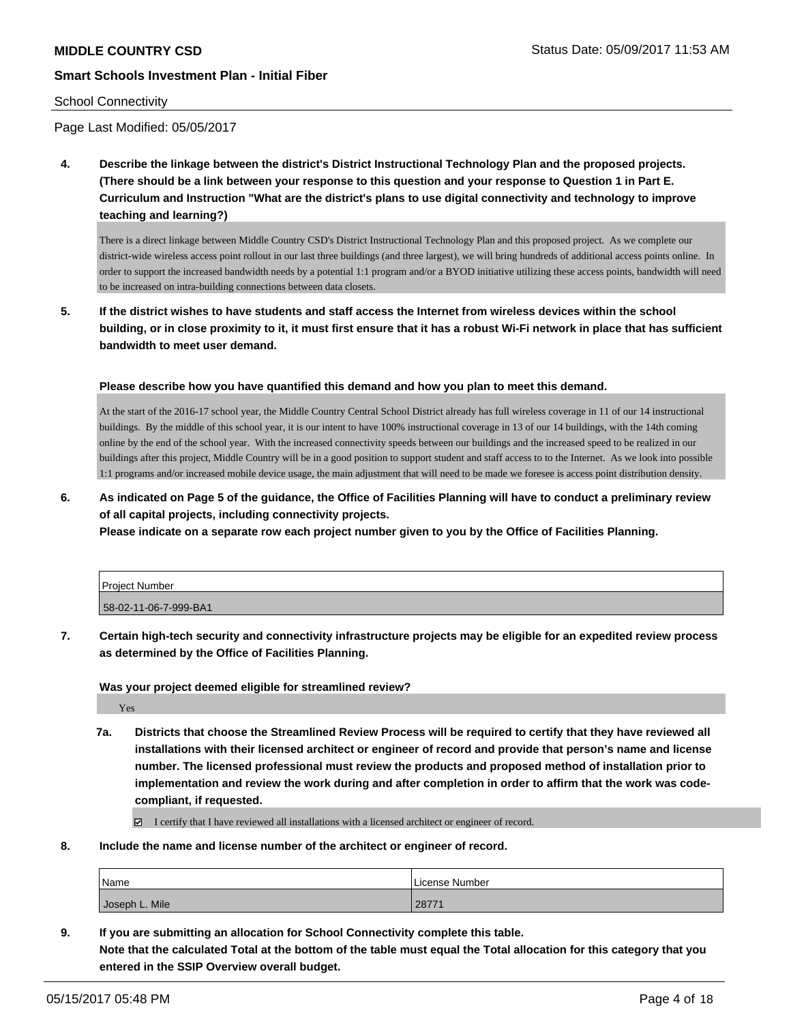#### School Connectivity

Page Last Modified: 05/05/2017

**4. Describe the linkage between the district's District Instructional Technology Plan and the proposed projects. (There should be a link between your response to this question and your response to Question 1 in Part E. Curriculum and Instruction "What are the district's plans to use digital connectivity and technology to improve teaching and learning?)**

There is a direct linkage between Middle Country CSD's District Instructional Technology Plan and this proposed project. As we complete our district-wide wireless access point rollout in our last three buildings (and three largest), we will bring hundreds of additional access points online. In order to support the increased bandwidth needs by a potential 1:1 program and/or a BYOD initiative utilizing these access points, bandwidth will need to be increased on intra-building connections between data closets.

**5. If the district wishes to have students and staff access the Internet from wireless devices within the school building, or in close proximity to it, it must first ensure that it has a robust Wi-Fi network in place that has sufficient bandwidth to meet user demand.**

**Please describe how you have quantified this demand and how you plan to meet this demand.**

At the start of the 2016-17 school year, the Middle Country Central School District already has full wireless coverage in 11 of our 14 instructional buildings. By the middle of this school year, it is our intent to have 100% instructional coverage in 13 of our 14 buildings, with the 14th coming online by the end of the school year. With the increased connectivity speeds between our buildings and the increased speed to be realized in our buildings after this project, Middle Country will be in a good position to support student and staff access to to the Internet. As we look into possible 1:1 programs and/or increased mobile device usage, the main adjustment that will need to be made we foresee is access point distribution density.

**6. As indicated on Page 5 of the guidance, the Office of Facilities Planning will have to conduct a preliminary review of all capital projects, including connectivity projects.**

**Please indicate on a separate row each project number given to you by the Office of Facilities Planning.**

| Project Number        |  |
|-----------------------|--|
|                       |  |
| 58-02-11-06-7-999-BA1 |  |

**7. Certain high-tech security and connectivity infrastructure projects may be eligible for an expedited review process as determined by the Office of Facilities Planning.**

**Was your project deemed eligible for streamlined review?**

Yes

**7a. Districts that choose the Streamlined Review Process will be required to certify that they have reviewed all installations with their licensed architect or engineer of record and provide that person's name and license number. The licensed professional must review the products and proposed method of installation prior to implementation and review the work during and after completion in order to affirm that the work was codecompliant, if requested.**

I certify that I have reviewed all installations with a licensed architect or engineer of record.

**8. Include the name and license number of the architect or engineer of record.**

| Name           | License Number |
|----------------|----------------|
| Joseph L. Mile | 28771          |

**9. If you are submitting an allocation for School Connectivity complete this table. Note that the calculated Total at the bottom of the table must equal the Total allocation for this category that you entered in the SSIP Overview overall budget.**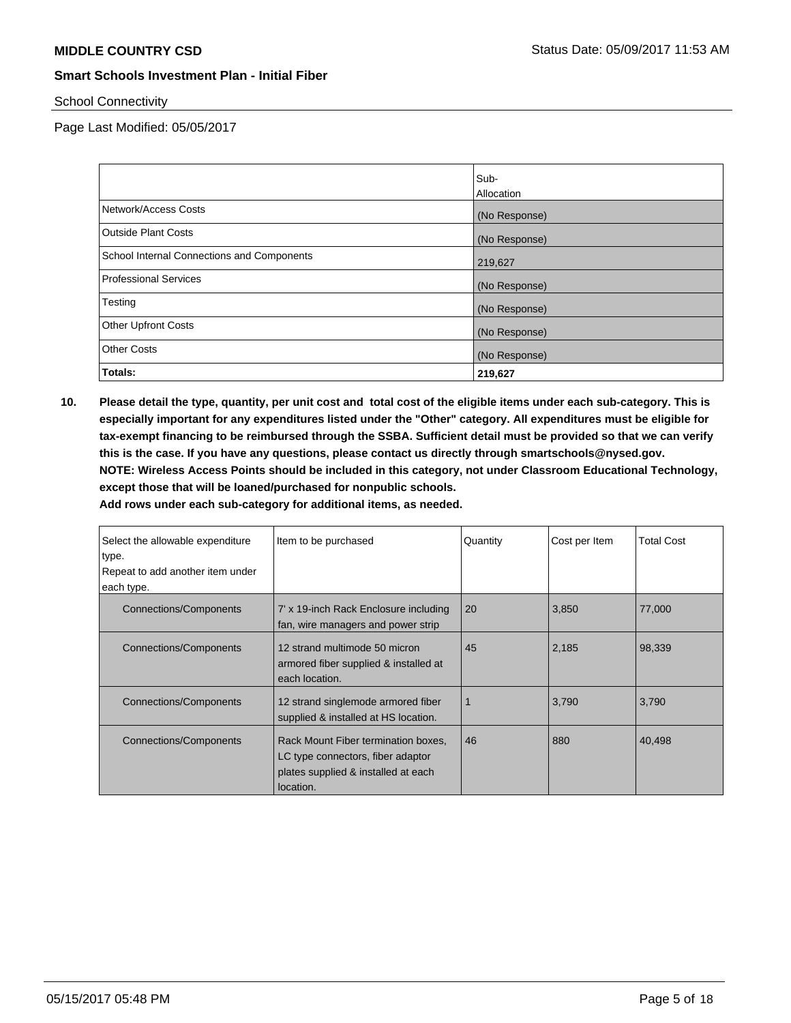### School Connectivity

Page Last Modified: 05/05/2017

|                                            | Sub-          |
|--------------------------------------------|---------------|
|                                            | Allocation    |
| Network/Access Costs                       | (No Response) |
| <b>Outside Plant Costs</b>                 | (No Response) |
| School Internal Connections and Components | 219,627       |
| <b>Professional Services</b>               | (No Response) |
| Testing                                    | (No Response) |
| Other Upfront Costs                        | (No Response) |
| <b>Other Costs</b>                         | (No Response) |
| Totals:                                    | 219,627       |

**10. Please detail the type, quantity, per unit cost and total cost of the eligible items under each sub-category. This is especially important for any expenditures listed under the "Other" category. All expenditures must be eligible for tax-exempt financing to be reimbursed through the SSBA. Sufficient detail must be provided so that we can verify this is the case. If you have any questions, please contact us directly through smartschools@nysed.gov. NOTE: Wireless Access Points should be included in this category, not under Classroom Educational Technology, except those that will be loaned/purchased for nonpublic schools.**

| Select the allowable expenditure<br>type.<br>Repeat to add another item under<br>each type. | Item to be purchased                                                                                                         | Quantity  | Cost per Item | <b>Total Cost</b> |
|---------------------------------------------------------------------------------------------|------------------------------------------------------------------------------------------------------------------------------|-----------|---------------|-------------------|
| Connections/Components                                                                      | 7' x 19-inch Rack Enclosure including<br>fan, wire managers and power strip                                                  | <b>20</b> | 3,850         | 77,000            |
| Connections/Components                                                                      | 12 strand multimode 50 micron<br>armored fiber supplied & installed at<br>each location.                                     | 45        | 2,185         | 98,339            |
| <b>Connections/Components</b>                                                               | 12 strand singlemode armored fiber<br>supplied & installed at HS location.                                                   |           | 3,790         | 3,790             |
| <b>Connections/Components</b>                                                               | Rack Mount Fiber termination boxes,<br>LC type connectors, fiber adaptor<br>plates supplied & installed at each<br>location. | 46        | 880           | 40,498            |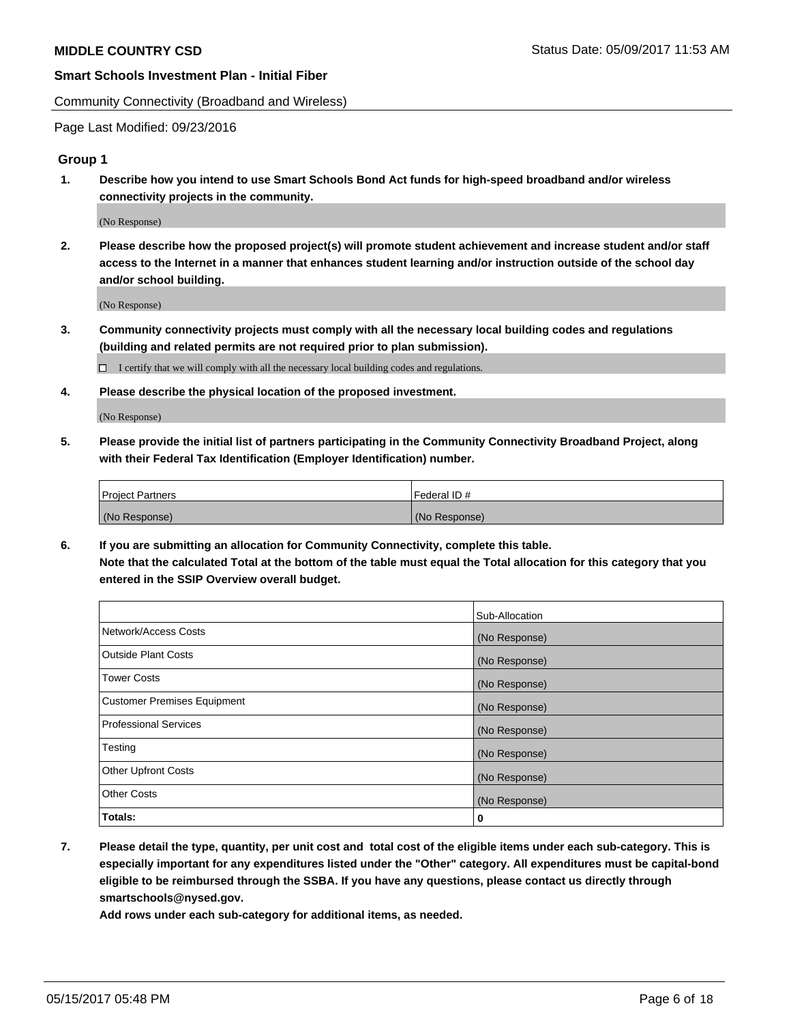Community Connectivity (Broadband and Wireless)

Page Last Modified: 09/23/2016

### **Group 1**

**1. Describe how you intend to use Smart Schools Bond Act funds for high-speed broadband and/or wireless connectivity projects in the community.**

(No Response)

**2. Please describe how the proposed project(s) will promote student achievement and increase student and/or staff access to the Internet in a manner that enhances student learning and/or instruction outside of the school day and/or school building.**

(No Response)

**3. Community connectivity projects must comply with all the necessary local building codes and regulations (building and related permits are not required prior to plan submission).**

 $\Box$  I certify that we will comply with all the necessary local building codes and regulations.

**4. Please describe the physical location of the proposed investment.**

(No Response)

**5. Please provide the initial list of partners participating in the Community Connectivity Broadband Project, along with their Federal Tax Identification (Employer Identification) number.**

| <b>Project Partners</b> | Federal ID#     |
|-------------------------|-----------------|
| (No Response)           | l (No Response) |

**6. If you are submitting an allocation for Community Connectivity, complete this table. Note that the calculated Total at the bottom of the table must equal the Total allocation for this category that you entered in the SSIP Overview overall budget.**

|                                    | Sub-Allocation |
|------------------------------------|----------------|
| Network/Access Costs               | (No Response)  |
| Outside Plant Costs                | (No Response)  |
| <b>Tower Costs</b>                 | (No Response)  |
| <b>Customer Premises Equipment</b> | (No Response)  |
| <b>Professional Services</b>       | (No Response)  |
| Testing                            | (No Response)  |
| <b>Other Upfront Costs</b>         | (No Response)  |
| <b>Other Costs</b>                 | (No Response)  |
| Totals:                            | 0              |

**7. Please detail the type, quantity, per unit cost and total cost of the eligible items under each sub-category. This is especially important for any expenditures listed under the "Other" category. All expenditures must be capital-bond eligible to be reimbursed through the SSBA. If you have any questions, please contact us directly through smartschools@nysed.gov.**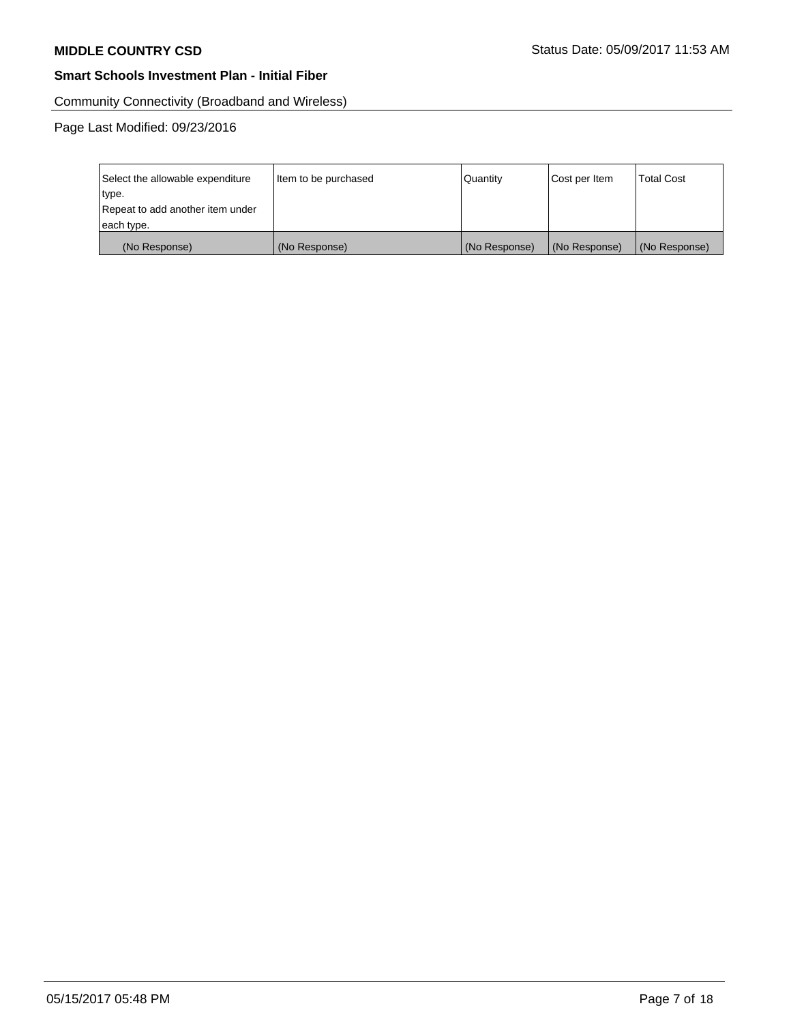Community Connectivity (Broadband and Wireless)

Page Last Modified: 09/23/2016

| Select the allowable expenditure | Item to be purchased | Quantity      | Cost per Item | <b>Total Cost</b> |
|----------------------------------|----------------------|---------------|---------------|-------------------|
| type.                            |                      |               |               |                   |
| Repeat to add another item under |                      |               |               |                   |
| each type.                       |                      |               |               |                   |
| (No Response)                    | (No Response)        | (No Response) | (No Response) | (No Response)     |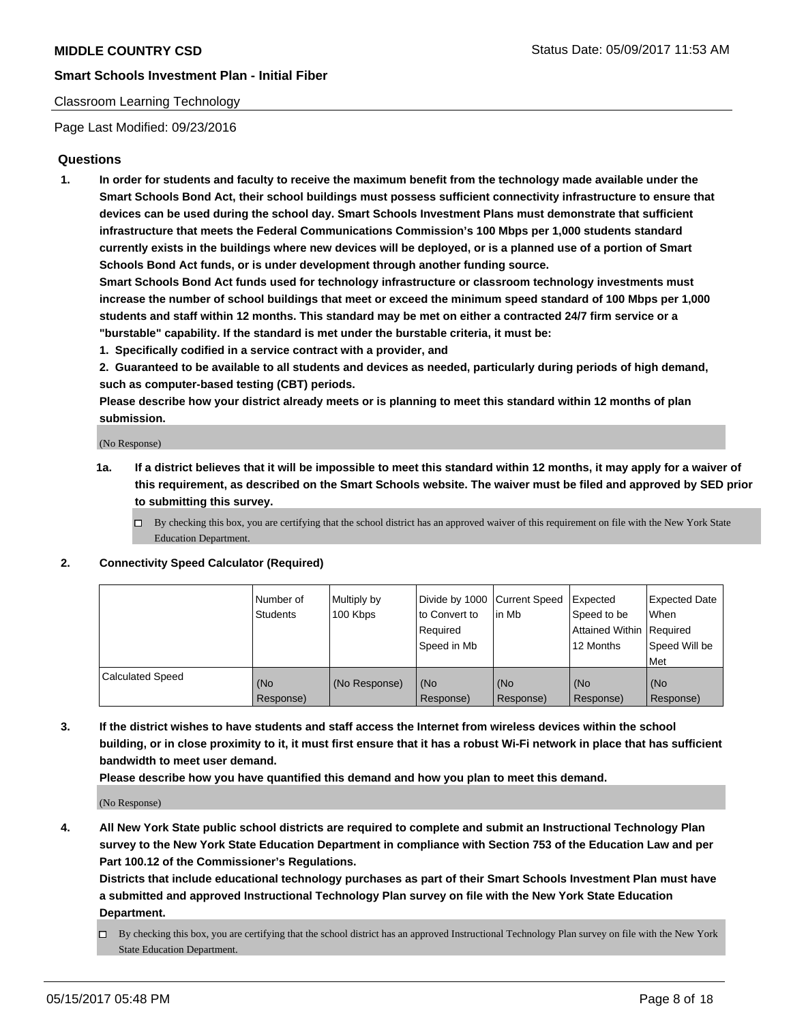## Classroom Learning Technology

Page Last Modified: 09/23/2016

## **Questions**

**1. In order for students and faculty to receive the maximum benefit from the technology made available under the Smart Schools Bond Act, their school buildings must possess sufficient connectivity infrastructure to ensure that devices can be used during the school day. Smart Schools Investment Plans must demonstrate that sufficient infrastructure that meets the Federal Communications Commission's 100 Mbps per 1,000 students standard currently exists in the buildings where new devices will be deployed, or is a planned use of a portion of Smart Schools Bond Act funds, or is under development through another funding source.**

**Smart Schools Bond Act funds used for technology infrastructure or classroom technology investments must increase the number of school buildings that meet or exceed the minimum speed standard of 100 Mbps per 1,000 students and staff within 12 months. This standard may be met on either a contracted 24/7 firm service or a "burstable" capability. If the standard is met under the burstable criteria, it must be:**

- **1. Specifically codified in a service contract with a provider, and**
- **2. Guaranteed to be available to all students and devices as needed, particularly during periods of high demand, such as computer-based testing (CBT) periods.**

**Please describe how your district already meets or is planning to meet this standard within 12 months of plan submission.**

(No Response)

- **1a. If a district believes that it will be impossible to meet this standard within 12 months, it may apply for a waiver of this requirement, as described on the Smart Schools website. The waiver must be filed and approved by SED prior to submitting this survey.**
	- $\Box$  By checking this box, you are certifying that the school district has an approved waiver of this requirement on file with the New York State Education Department.

#### **2. Connectivity Speed Calculator (Required)**

|                         | l Number of<br>Students | Multiply by<br>100 Kbps | Divide by 1000   Current Speed<br>to Convert to<br>Required<br>Speed in Mb | lin Mb           | Expected<br>Speed to be<br>Attained Within Required<br>12 Months | <b>Expected Date</b><br>When<br>Speed Will be<br>Met |
|-------------------------|-------------------------|-------------------------|----------------------------------------------------------------------------|------------------|------------------------------------------------------------------|------------------------------------------------------|
| <b>Calculated Speed</b> | (No<br>Response)        | (No Response)           | (No<br>Response)                                                           | (No<br>Response) | (No<br>Response)                                                 | (No<br>Response)                                     |

**3. If the district wishes to have students and staff access the Internet from wireless devices within the school building, or in close proximity to it, it must first ensure that it has a robust Wi-Fi network in place that has sufficient bandwidth to meet user demand.**

**Please describe how you have quantified this demand and how you plan to meet this demand.**

(No Response)

**4. All New York State public school districts are required to complete and submit an Instructional Technology Plan survey to the New York State Education Department in compliance with Section 753 of the Education Law and per Part 100.12 of the Commissioner's Regulations.**

**Districts that include educational technology purchases as part of their Smart Schools Investment Plan must have a submitted and approved Instructional Technology Plan survey on file with the New York State Education Department.**

 $\Box$  By checking this box, you are certifying that the school district has an approved Instructional Technology Plan survey on file with the New York State Education Department.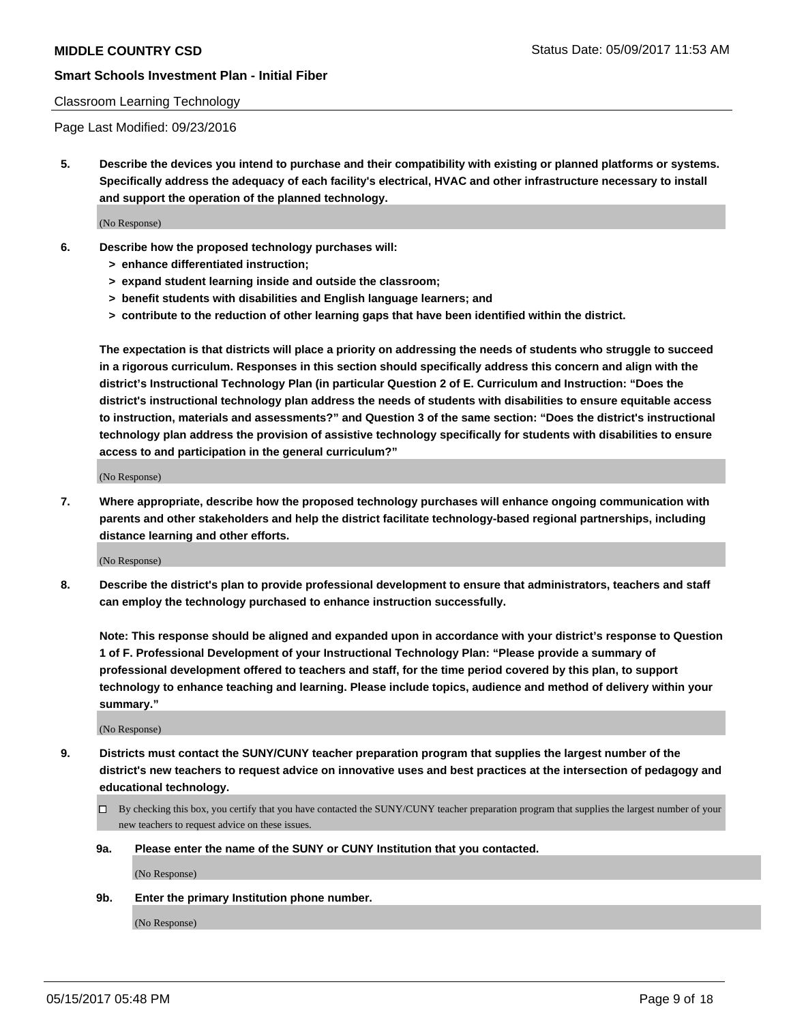#### Classroom Learning Technology

Page Last Modified: 09/23/2016

**5. Describe the devices you intend to purchase and their compatibility with existing or planned platforms or systems. Specifically address the adequacy of each facility's electrical, HVAC and other infrastructure necessary to install and support the operation of the planned technology.**

(No Response)

- **6. Describe how the proposed technology purchases will:**
	- **> enhance differentiated instruction;**
	- **> expand student learning inside and outside the classroom;**
	- **> benefit students with disabilities and English language learners; and**
	- **> contribute to the reduction of other learning gaps that have been identified within the district.**

**The expectation is that districts will place a priority on addressing the needs of students who struggle to succeed in a rigorous curriculum. Responses in this section should specifically address this concern and align with the district's Instructional Technology Plan (in particular Question 2 of E. Curriculum and Instruction: "Does the district's instructional technology plan address the needs of students with disabilities to ensure equitable access to instruction, materials and assessments?" and Question 3 of the same section: "Does the district's instructional technology plan address the provision of assistive technology specifically for students with disabilities to ensure access to and participation in the general curriculum?"**

(No Response)

**7. Where appropriate, describe how the proposed technology purchases will enhance ongoing communication with parents and other stakeholders and help the district facilitate technology-based regional partnerships, including distance learning and other efforts.**

(No Response)

**8. Describe the district's plan to provide professional development to ensure that administrators, teachers and staff can employ the technology purchased to enhance instruction successfully.**

**Note: This response should be aligned and expanded upon in accordance with your district's response to Question 1 of F. Professional Development of your Instructional Technology Plan: "Please provide a summary of professional development offered to teachers and staff, for the time period covered by this plan, to support technology to enhance teaching and learning. Please include topics, audience and method of delivery within your summary."**

(No Response)

- **9. Districts must contact the SUNY/CUNY teacher preparation program that supplies the largest number of the district's new teachers to request advice on innovative uses and best practices at the intersection of pedagogy and educational technology.**
	- By checking this box, you certify that you have contacted the SUNY/CUNY teacher preparation program that supplies the largest number of your new teachers to request advice on these issues.
	- **9a. Please enter the name of the SUNY or CUNY Institution that you contacted.**

(No Response)

**9b. Enter the primary Institution phone number.**

(No Response)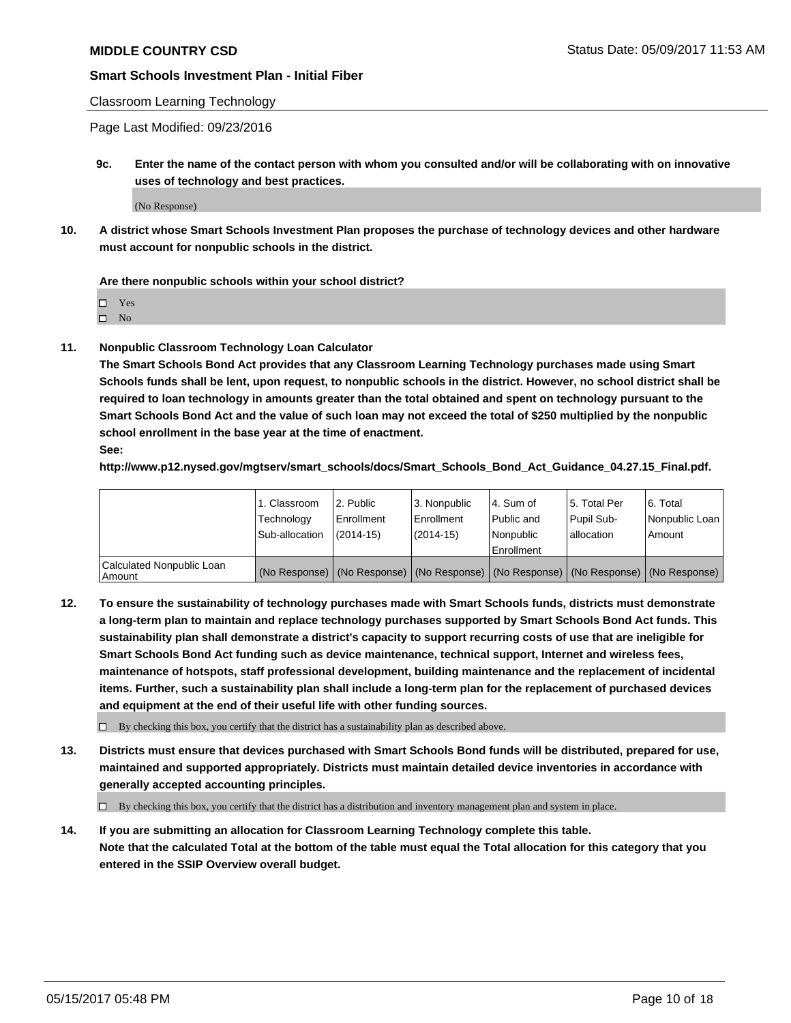#### Classroom Learning Technology

Page Last Modified: 09/23/2016

**9c. Enter the name of the contact person with whom you consulted and/or will be collaborating with on innovative uses of technology and best practices.**

(No Response)

**10. A district whose Smart Schools Investment Plan proposes the purchase of technology devices and other hardware must account for nonpublic schools in the district.**

**Are there nonpublic schools within your school district?**

Yes

 $\square$  No

**11. Nonpublic Classroom Technology Loan Calculator**

**The Smart Schools Bond Act provides that any Classroom Learning Technology purchases made using Smart Schools funds shall be lent, upon request, to nonpublic schools in the district. However, no school district shall be required to loan technology in amounts greater than the total obtained and spent on technology pursuant to the Smart Schools Bond Act and the value of such loan may not exceed the total of \$250 multiplied by the nonpublic school enrollment in the base year at the time of enactment.**

**See:**

**http://www.p12.nysed.gov/mgtserv/smart\_schools/docs/Smart\_Schools\_Bond\_Act\_Guidance\_04.27.15\_Final.pdf.**

|                                       | 1. Classroom   | l 2. Public   | 3. Nonpublic | l 4. Sum of | 15. Total Per                                                                                 | 6. Total       |
|---------------------------------------|----------------|---------------|--------------|-------------|-----------------------------------------------------------------------------------------------|----------------|
|                                       | Technology     | Enrollment    | Enrollment   | Public and  | Pupil Sub-                                                                                    | Nonpublic Loan |
|                                       | Sub-allocation | $(2014 - 15)$ | $(2014-15)$  | l Nonpublic | allocation                                                                                    | Amount         |
|                                       |                |               |              | Enrollment  |                                                                                               |                |
| Calculated Nonpublic Loan<br>  Amount |                |               |              |             | (No Response)   (No Response)   (No Response)   (No Response)   (No Response)   (No Response) |                |

**12. To ensure the sustainability of technology purchases made with Smart Schools funds, districts must demonstrate a long-term plan to maintain and replace technology purchases supported by Smart Schools Bond Act funds. This sustainability plan shall demonstrate a district's capacity to support recurring costs of use that are ineligible for Smart Schools Bond Act funding such as device maintenance, technical support, Internet and wireless fees, maintenance of hotspots, staff professional development, building maintenance and the replacement of incidental items. Further, such a sustainability plan shall include a long-term plan for the replacement of purchased devices and equipment at the end of their useful life with other funding sources.**

 $\Box$  By checking this box, you certify that the district has a sustainability plan as described above.

**13. Districts must ensure that devices purchased with Smart Schools Bond funds will be distributed, prepared for use, maintained and supported appropriately. Districts must maintain detailed device inventories in accordance with generally accepted accounting principles.**

By checking this box, you certify that the district has a distribution and inventory management plan and system in place.

**14. If you are submitting an allocation for Classroom Learning Technology complete this table. Note that the calculated Total at the bottom of the table must equal the Total allocation for this category that you entered in the SSIP Overview overall budget.**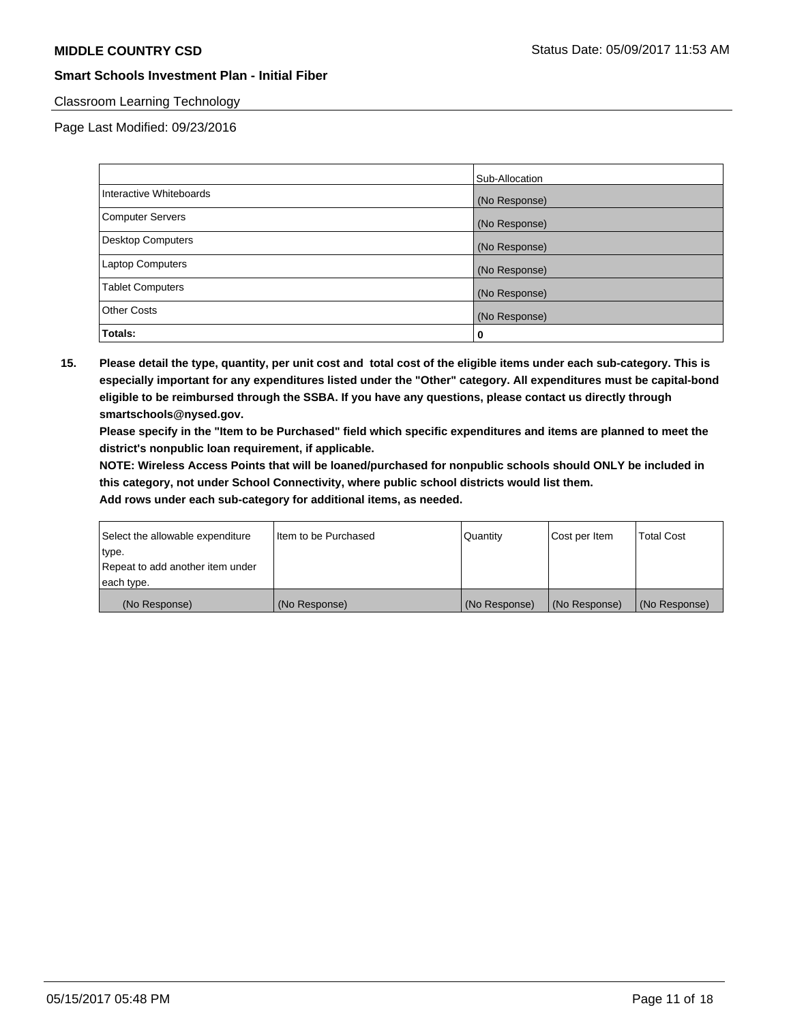## Classroom Learning Technology

Page Last Modified: 09/23/2016

|                         | Sub-Allocation |
|-------------------------|----------------|
| Interactive Whiteboards | (No Response)  |
| <b>Computer Servers</b> | (No Response)  |
| Desktop Computers       | (No Response)  |
| <b>Laptop Computers</b> | (No Response)  |
| <b>Tablet Computers</b> | (No Response)  |
| <b>Other Costs</b>      | (No Response)  |
| Totals:                 | 0              |

**15. Please detail the type, quantity, per unit cost and total cost of the eligible items under each sub-category. This is especially important for any expenditures listed under the "Other" category. All expenditures must be capital-bond eligible to be reimbursed through the SSBA. If you have any questions, please contact us directly through smartschools@nysed.gov.**

**Please specify in the "Item to be Purchased" field which specific expenditures and items are planned to meet the district's nonpublic loan requirement, if applicable.**

**NOTE: Wireless Access Points that will be loaned/purchased for nonpublic schools should ONLY be included in this category, not under School Connectivity, where public school districts would list them.**

| (No Response)                    | (No Response)        | (No Response) | (No Response) | (No Response)     |
|----------------------------------|----------------------|---------------|---------------|-------------------|
| each type.                       |                      |               |               |                   |
| Repeat to add another item under |                      |               |               |                   |
| ∣type.                           |                      |               |               |                   |
| Select the allowable expenditure | Item to be Purchased | Quantity      | Cost per Item | <b>Total Cost</b> |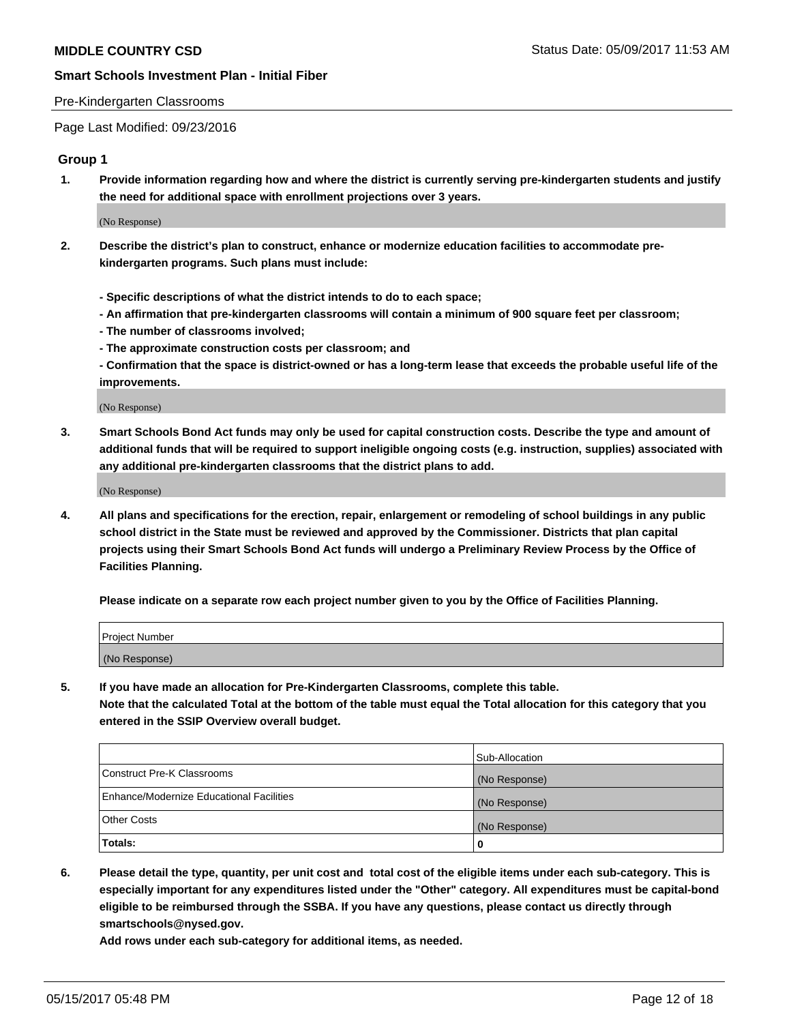#### Pre-Kindergarten Classrooms

Page Last Modified: 09/23/2016

#### **Group 1**

**1. Provide information regarding how and where the district is currently serving pre-kindergarten students and justify the need for additional space with enrollment projections over 3 years.**

(No Response)

- **2. Describe the district's plan to construct, enhance or modernize education facilities to accommodate prekindergarten programs. Such plans must include:**
	- **Specific descriptions of what the district intends to do to each space;**
	- **An affirmation that pre-kindergarten classrooms will contain a minimum of 900 square feet per classroom;**
	- **The number of classrooms involved;**
	- **The approximate construction costs per classroom; and**
	- **Confirmation that the space is district-owned or has a long-term lease that exceeds the probable useful life of the improvements.**

(No Response)

**3. Smart Schools Bond Act funds may only be used for capital construction costs. Describe the type and amount of additional funds that will be required to support ineligible ongoing costs (e.g. instruction, supplies) associated with any additional pre-kindergarten classrooms that the district plans to add.**

(No Response)

**4. All plans and specifications for the erection, repair, enlargement or remodeling of school buildings in any public school district in the State must be reviewed and approved by the Commissioner. Districts that plan capital projects using their Smart Schools Bond Act funds will undergo a Preliminary Review Process by the Office of Facilities Planning.**

**Please indicate on a separate row each project number given to you by the Office of Facilities Planning.**

| Project Number |  |
|----------------|--|
| (No Response)  |  |

**5. If you have made an allocation for Pre-Kindergarten Classrooms, complete this table. Note that the calculated Total at the bottom of the table must equal the Total allocation for this category that you entered in the SSIP Overview overall budget.**

| Totals:                                  | 0              |
|------------------------------------------|----------------|
| Other Costs                              | (No Response)  |
| Enhance/Modernize Educational Facilities | (No Response)  |
| Construct Pre-K Classrooms               | (No Response)  |
|                                          | Sub-Allocation |

**6. Please detail the type, quantity, per unit cost and total cost of the eligible items under each sub-category. This is especially important for any expenditures listed under the "Other" category. All expenditures must be capital-bond eligible to be reimbursed through the SSBA. If you have any questions, please contact us directly through smartschools@nysed.gov.**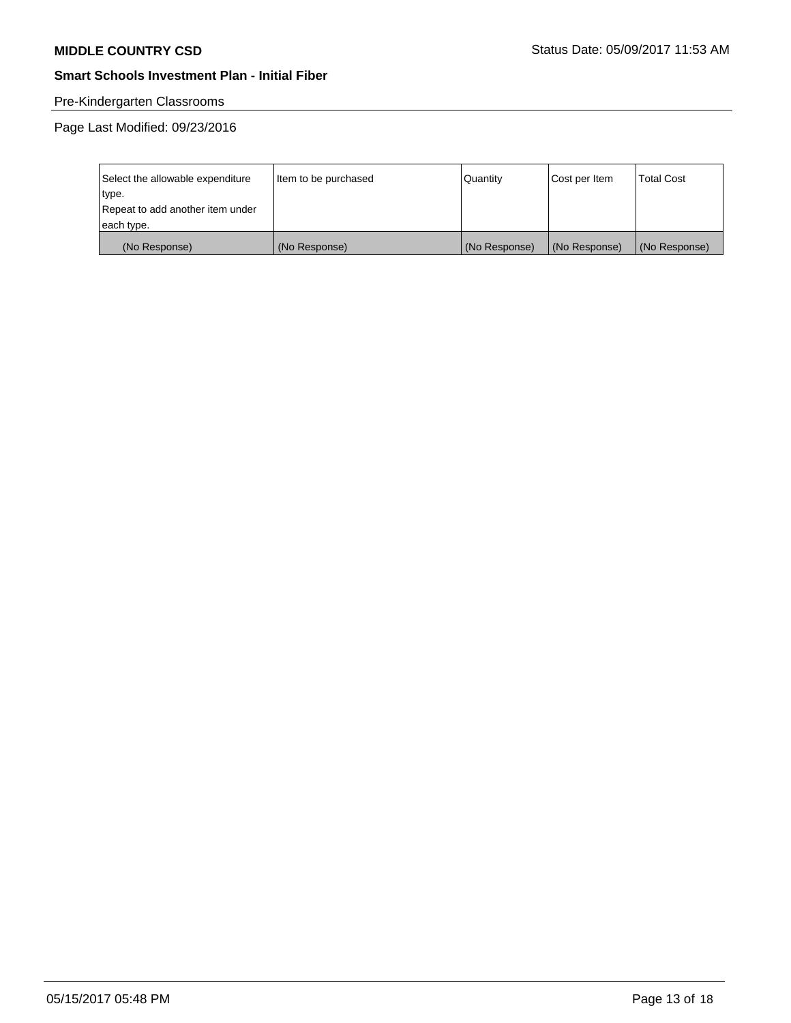# Pre-Kindergarten Classrooms

Page Last Modified: 09/23/2016

| Select the allowable expenditure | Item to be purchased | Quantity      | Cost per Item | <b>Total Cost</b> |
|----------------------------------|----------------------|---------------|---------------|-------------------|
| type.                            |                      |               |               |                   |
| Repeat to add another item under |                      |               |               |                   |
| each type.                       |                      |               |               |                   |
| (No Response)                    | (No Response)        | (No Response) | (No Response) | (No Response)     |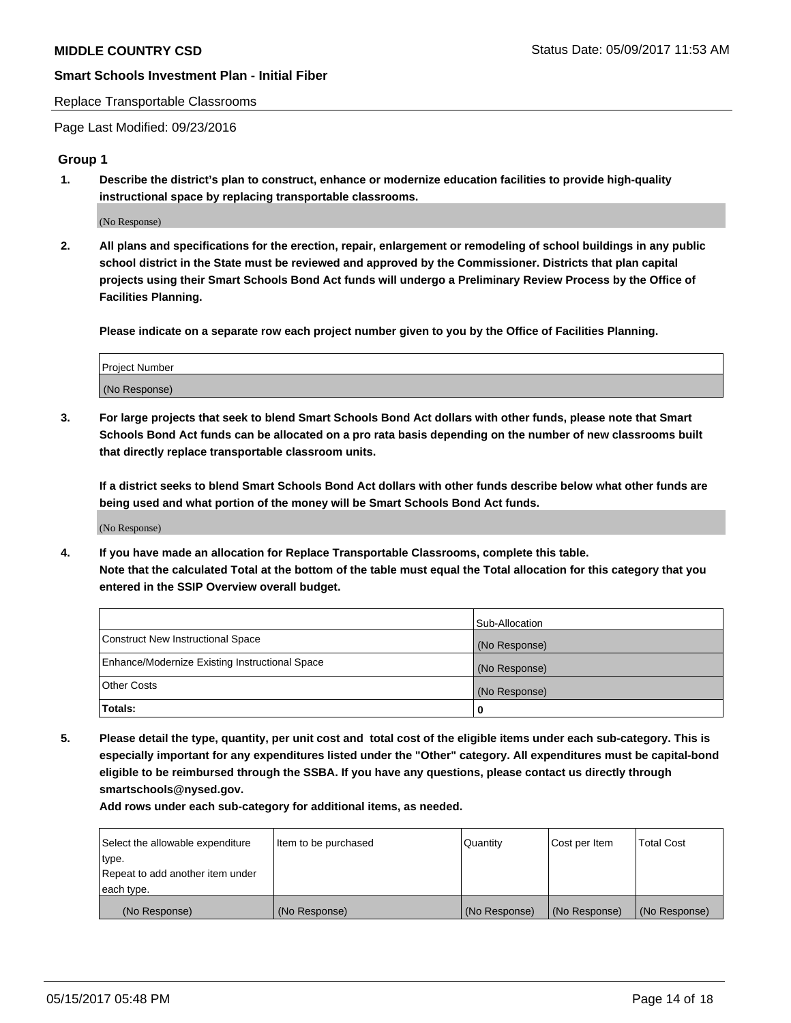#### Replace Transportable Classrooms

Page Last Modified: 09/23/2016

### **Group 1**

**1. Describe the district's plan to construct, enhance or modernize education facilities to provide high-quality instructional space by replacing transportable classrooms.**

(No Response)

**2. All plans and specifications for the erection, repair, enlargement or remodeling of school buildings in any public school district in the State must be reviewed and approved by the Commissioner. Districts that plan capital projects using their Smart Schools Bond Act funds will undergo a Preliminary Review Process by the Office of Facilities Planning.**

**Please indicate on a separate row each project number given to you by the Office of Facilities Planning.**

| Project Number |  |
|----------------|--|
| (No Response)  |  |

**3. For large projects that seek to blend Smart Schools Bond Act dollars with other funds, please note that Smart Schools Bond Act funds can be allocated on a pro rata basis depending on the number of new classrooms built that directly replace transportable classroom units.**

**If a district seeks to blend Smart Schools Bond Act dollars with other funds describe below what other funds are being used and what portion of the money will be Smart Schools Bond Act funds.**

(No Response)

**4. If you have made an allocation for Replace Transportable Classrooms, complete this table. Note that the calculated Total at the bottom of the table must equal the Total allocation for this category that you entered in the SSIP Overview overall budget.**

|                                                | Sub-Allocation |
|------------------------------------------------|----------------|
| Construct New Instructional Space              | (No Response)  |
| Enhance/Modernize Existing Instructional Space | (No Response)  |
| Other Costs                                    | (No Response)  |
| Totals:                                        |                |

**5. Please detail the type, quantity, per unit cost and total cost of the eligible items under each sub-category. This is especially important for any expenditures listed under the "Other" category. All expenditures must be capital-bond eligible to be reimbursed through the SSBA. If you have any questions, please contact us directly through smartschools@nysed.gov.**

| Select the allowable expenditure | Item to be purchased | Quantity      | Cost per Item | <b>Total Cost</b> |
|----------------------------------|----------------------|---------------|---------------|-------------------|
| type.                            |                      |               |               |                   |
| Repeat to add another item under |                      |               |               |                   |
| each type.                       |                      |               |               |                   |
| (No Response)                    | (No Response)        | (No Response) | (No Response) | (No Response)     |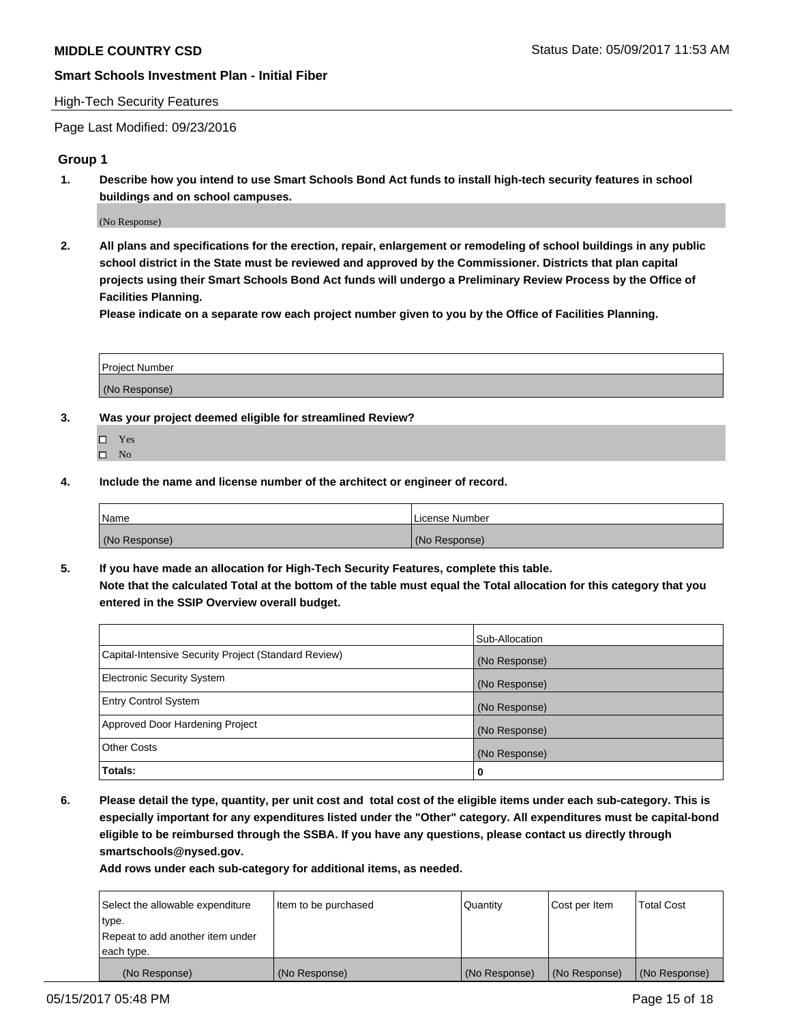#### High-Tech Security Features

Page Last Modified: 09/23/2016

## **Group 1**

**1. Describe how you intend to use Smart Schools Bond Act funds to install high-tech security features in school buildings and on school campuses.**

(No Response)

**2. All plans and specifications for the erection, repair, enlargement or remodeling of school buildings in any public school district in the State must be reviewed and approved by the Commissioner. Districts that plan capital projects using their Smart Schools Bond Act funds will undergo a Preliminary Review Process by the Office of Facilities Planning.** 

**Please indicate on a separate row each project number given to you by the Office of Facilities Planning.**

| Project Number |  |
|----------------|--|
|                |  |
| (No Response)  |  |

- **3. Was your project deemed eligible for streamlined Review?**
	- Yes  $\hfill \square$  No
- **4. Include the name and license number of the architect or engineer of record.**

| <b>Name</b>   | License Number |
|---------------|----------------|
| (No Response) | (No Response)  |

**5. If you have made an allocation for High-Tech Security Features, complete this table. Note that the calculated Total at the bottom of the table must equal the Total allocation for this category that you entered in the SSIP Overview overall budget.**

|                                                      | Sub-Allocation |
|------------------------------------------------------|----------------|
| Capital-Intensive Security Project (Standard Review) | (No Response)  |
| Electronic Security System                           | (No Response)  |
| <b>Entry Control System</b>                          | (No Response)  |
| Approved Door Hardening Project                      | (No Response)  |
| <b>Other Costs</b>                                   | (No Response)  |
| Totals:                                              | 0              |

**6. Please detail the type, quantity, per unit cost and total cost of the eligible items under each sub-category. This is especially important for any expenditures listed under the "Other" category. All expenditures must be capital-bond eligible to be reimbursed through the SSBA. If you have any questions, please contact us directly through smartschools@nysed.gov.**

| (No Response)                    | (No Response)        | (No Response) | (No Response) | (No Response)     |
|----------------------------------|----------------------|---------------|---------------|-------------------|
| each type.                       |                      |               |               |                   |
| Repeat to add another item under |                      |               |               |                   |
| type.                            |                      |               |               |                   |
| Select the allowable expenditure | Item to be purchased | Quantity      | Cost per Item | <b>Total Cost</b> |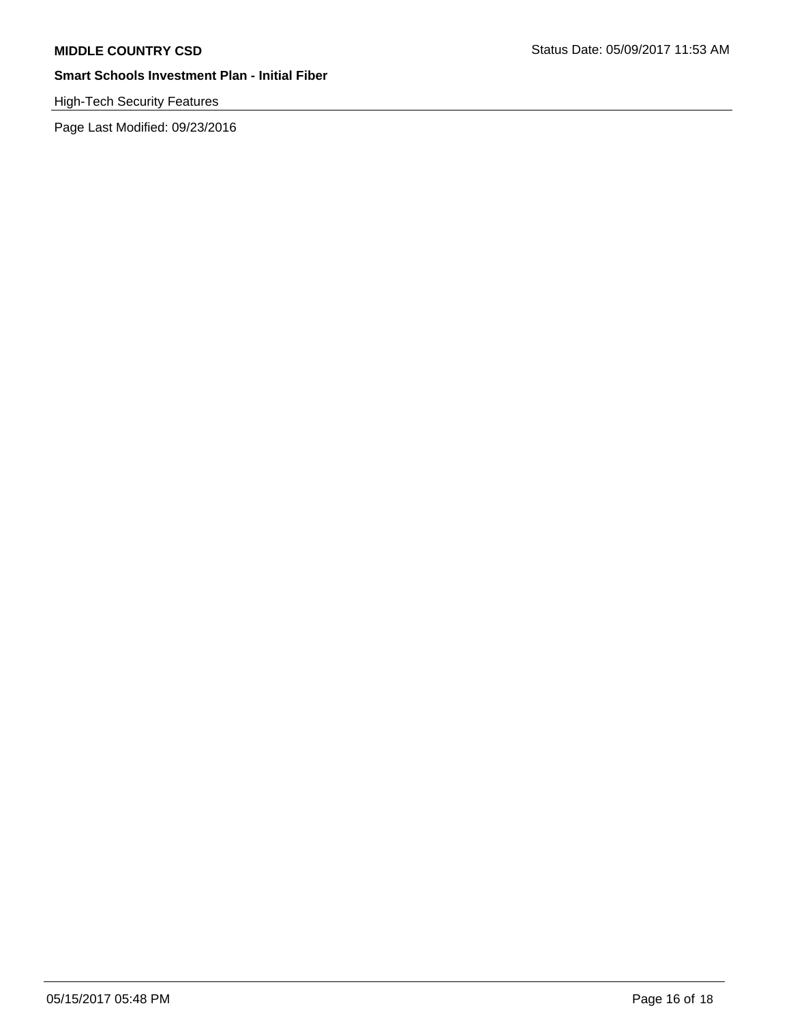# High-Tech Security Features

Page Last Modified: 09/23/2016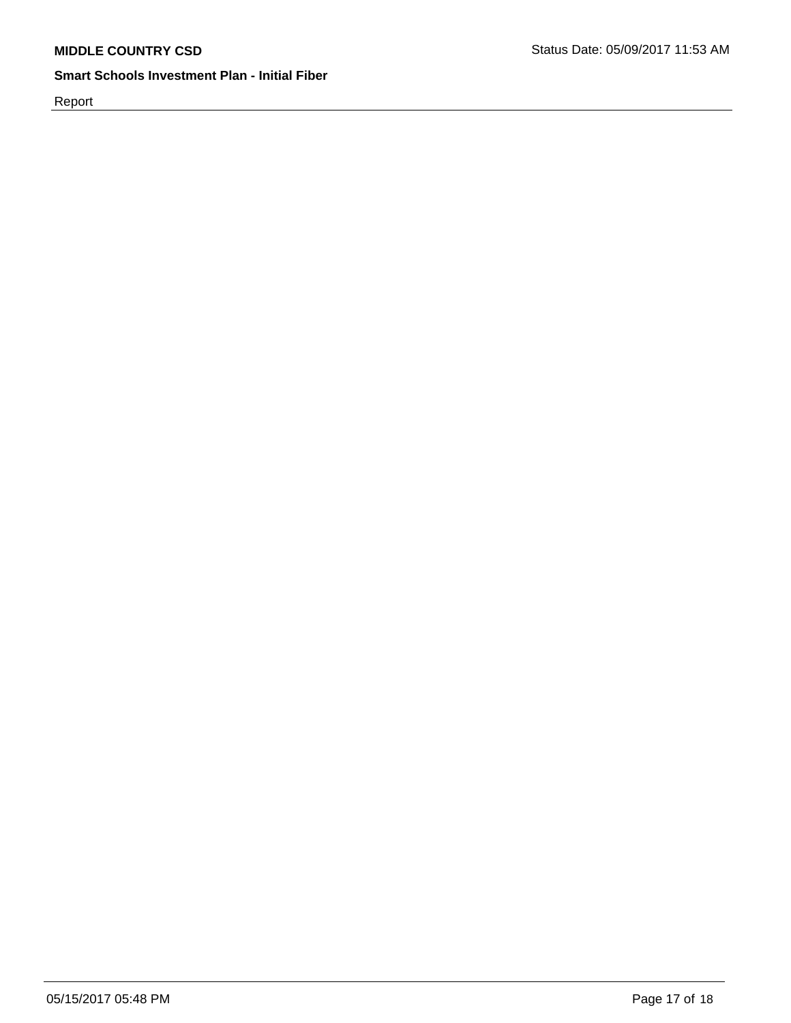Report